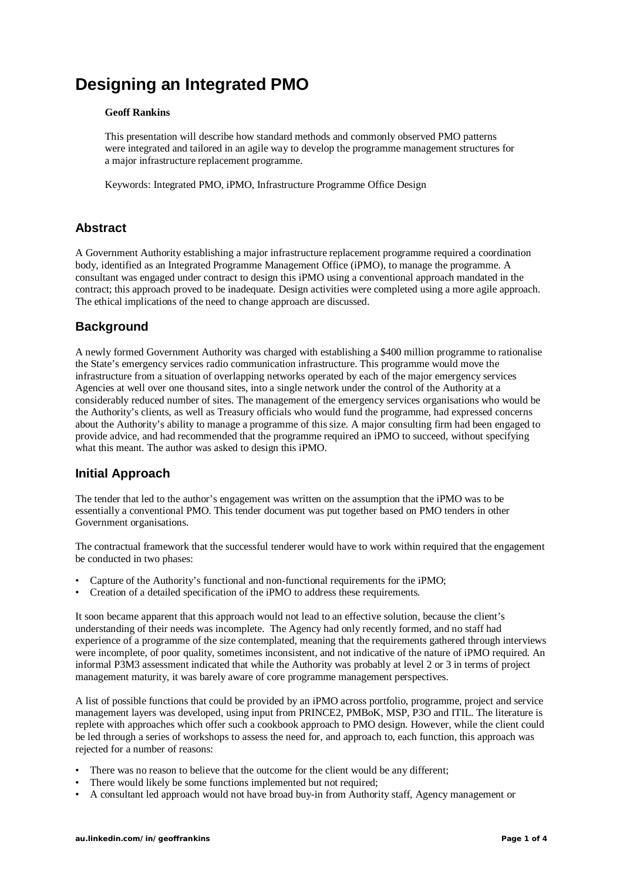# **Designing an Integrated PMO**

#### **Geoff Rankins**

This presentation will describe how standard methods and commonly observed PMO patterns were integrated and tailored in an agile way to develop the programme management structures for a major infrastructure replacement programme.

Keywords: Integrated PMO, iPMO, Infrastructure Programme Office Design

# **Abstract**

A Government Authority establishing a major infrastructure replacement programme required a coordination body, identified as an Integrated Programme Management Office (iPMO), to manage the programme. A consultant was engaged under contract to design this iPMO using a conventional approach mandated in the contract; this approach proved to be inadequate. Design activities were completed using a more agile approach. The ethical implications of the need to change approach are discussed.

# **Background**

A newly formed Government Authority was charged with establishing a \$400 million programme to rationalise the State's emergency services radio communication infrastructure. This programme would move the infrastructure from a situation of overlapping networks operated by each of the major emergency services Agencies at well over one thousand sites, into a single network under the control of the Authority at a considerably reduced number of sites. The management of the emergency services organisations who would be the Authority's clients, as well as Treasury officials who would fund the programme, had expressed concerns about the Authority's ability to manage a programme of this size. A major consulting firm had been engaged to provide advice, and had recommended that the programme required an iPMO to succeed, without specifying what this meant. The author was asked to design this iPMO.

# **Initial Approach**

The tender that led to the author's engagement was written on the assumption that the iPMO was to be essentially a conventional PMO. This tender document was put together based on PMO tenders in other Government organisations.

The contractual framework that the successful tenderer would have to work within required that the engagement be conducted in two phases:

- Capture of the Authority's functional and non-functional requirements for the iPMO;
- Creation of a detailed specification of the iPMO to address these requirements.

It soon became apparent that this approach would not lead to an effective solution, because the client's understanding of their needs was incomplete. The Agency had only recently formed, and no staff had experience of a programme of the size contemplated, meaning that the requirements gathered through interviews were incomplete, of poor quality, sometimes inconsistent, and not indicative of the nature of iPMO required. An informal P3M3 assessment indicated that while the Authority was probably at level 2 or 3 in terms of project management maturity, it was barely aware of core programme management perspectives.

A list of possible functions that could be provided by an iPMO across portfolio, programme, project and service management layers was developed, using input from PRINCE2, PMBoK, MSP, P3O and ITIL. The literature is replete with approaches which offer such a cookbook approach to PMO design. However, while the client could be led through a series of workshops to assess the need for, and approach to, each function, this approach was rejected for a number of reasons:

- There was no reason to believe that the outcome for the client would be any different;
- There would likely be some functions implemented but not required;
- A consultant led approach would not have broad buy-in from Authority staff, Agency management or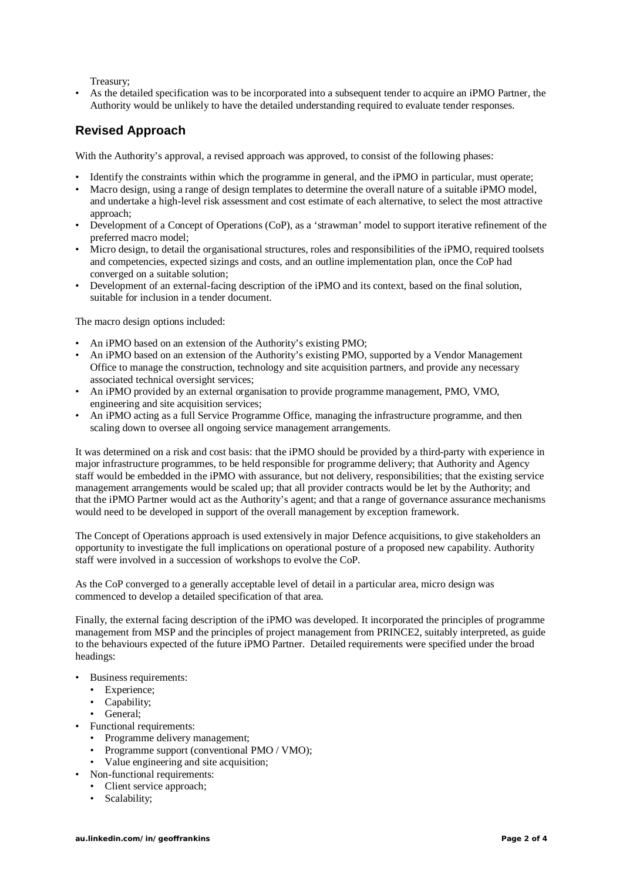Treasury;

As the detailed specification was to be incorporated into a subsequent tender to acquire an iPMO Partner, the Authority would be unlikely to have the detailed understanding required to evaluate tender responses.

# **Revised Approach**

With the Authority's approval, a revised approach was approved, to consist of the following phases:

- Identify the constraints within which the programme in general, and the iPMO in particular, must operate;
- Macro design, using a range of design templates to determine the overall nature of a suitable iPMO model, and undertake a high-level risk assessment and cost estimate of each alternative, to select the most attractive approach;
- Development of a Concept of Operations (CoP), as a 'strawman' model to support iterative refinement of the preferred macro model;
- Micro design, to detail the organisational structures, roles and responsibilities of the iPMO, required toolsets and competencies, expected sizings and costs, and an outline implementation plan, once the CoP had converged on a suitable solution;
- Development of an external-facing description of the iPMO and its context, based on the final solution, suitable for inclusion in a tender document.

The macro design options included:

- An iPMO based on an extension of the Authority's existing PMO;
- An iPMO based on an extension of the Authority's existing PMO, supported by a Vendor Management Office to manage the construction, technology and site acquisition partners, and provide any necessary associated technical oversight services;
- An iPMO provided by an external organisation to provide programme management, PMO, VMO, engineering and site acquisition services;
- An iPMO acting as a full Service Programme Office, managing the infrastructure programme, and then scaling down to oversee all ongoing service management arrangements.

It was determined on a risk and cost basis: that the iPMO should be provided by a third-party with experience in major infrastructure programmes, to be held responsible for programme delivery; that Authority and Agency staff would be embedded in the iPMO with assurance, but not delivery, responsibilities; that the existing service management arrangements would be scaled up; that all provider contracts would be let by the Authority; and that the iPMO Partner would act as the Authority's agent; and that a range of governance assurance mechanisms would need to be developed in support of the overall management by exception framework.

The Concept of Operations approach is used extensively in major Defence acquisitions, to give stakeholders an opportunity to investigate the full implications on operational posture of a proposed new capability. Authority staff were involved in a succession of workshops to evolve the CoP.

As the CoP converged to a generally acceptable level of detail in a particular area, micro design was commenced to develop a detailed specification of that area.

Finally, the external facing description of the iPMO was developed. It incorporated the principles of programme management from MSP and the principles of project management from PRINCE2, suitably interpreted, as guide to the behaviours expected of the future iPMO Partner. Detailed requirements were specified under the broad headings:

- Business requirements:
	- Experience;
	- Capability;
	- General;
- Functional requirements:
	- Programme delivery management;
	- Programme support (conventional PMO / VMO);
	- Value engineering and site acquisition;
- Non-functional requirements:
	- Client service approach;
	- Scalability;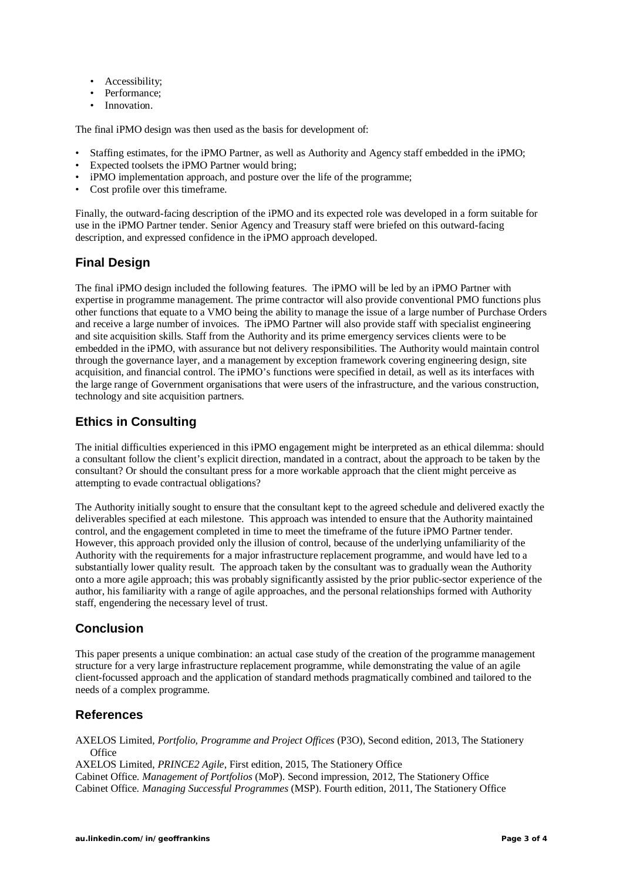- Accessibility;
- Performance;
- Innovation.

The final iPMO design was then used as the basis for development of:

- Staffing estimates, for the iPMO Partner, as well as Authority and Agency staff embedded in the iPMO;
- Expected toolsets the iPMO Partner would bring;
- iPMO implementation approach, and posture over the life of the programme;
- Cost profile over this timeframe.

Finally, the outward-facing description of the iPMO and its expected role was developed in a form suitable for use in the iPMO Partner tender. Senior Agency and Treasury staff were briefed on this outward-facing description, and expressed confidence in the iPMO approach developed.

#### **Final Design**

The final iPMO design included the following features. The iPMO will be led by an iPMO Partner with expertise in programme management. The prime contractor will also provide conventional PMO functions plus other functions that equate to a VMO being the ability to manage the issue of a large number of Purchase Orders and receive a large number of invoices. The iPMO Partner will also provide staff with specialist engineering and site acquisition skills. Staff from the Authority and its prime emergency services clients were to be embedded in the iPMO, with assurance but not delivery responsibilities. The Authority would maintain control through the governance layer, and a management by exception framework covering engineering design, site acquisition, and financial control. The iPMO's functions were specified in detail, as well as its interfaces with the large range of Government organisations that were users of the infrastructure, and the various construction, technology and site acquisition partners.

# **Ethics in Consulting**

The initial difficulties experienced in this iPMO engagement might be interpreted as an ethical dilemma: should a consultant follow the client's explicit direction, mandated in a contract, about the approach to be taken by the consultant? Or should the consultant press for a more workable approach that the client might perceive as attempting to evade contractual obligations?

The Authority initially sought to ensure that the consultant kept to the agreed schedule and delivered exactly the deliverables specified at each milestone. This approach was intended to ensure that the Authority maintained control, and the engagement completed in time to meet the timeframe of the future iPMO Partner tender. However, this approach provided only the illusion of control, because of the underlying unfamiliarity of the Authority with the requirements for a major infrastructure replacement programme, and would have led to a substantially lower quality result. The approach taken by the consultant was to gradually wean the Authority onto a more agile approach; this was probably significantly assisted by the prior public-sector experience of the author, his familiarity with a range of agile approaches, and the personal relationships formed with Authority staff, engendering the necessary level of trust.

#### **Conclusion**

This paper presents a unique combination: an actual case study of the creation of the programme management structure for a very large infrastructure replacement programme, while demonstrating the value of an agile client-focussed approach and the application of standard methods pragmatically combined and tailored to the needs of a complex programme.

#### **References**

AXELOS Limited, *Portfolio, Programme and Project Offices* (P3O), Second edition, 2013, The Stationery **Office** 

AXELOS Limited, *PRINCE2 Agile*, First edition, 2015, The Stationery Office Cabinet Office. *Management of Portfolios* (MoP). Second impression, 2012, The Stationery Office Cabinet Office. *Managing Successful Programmes* (MSP). Fourth edition, 2011, The Stationery Office